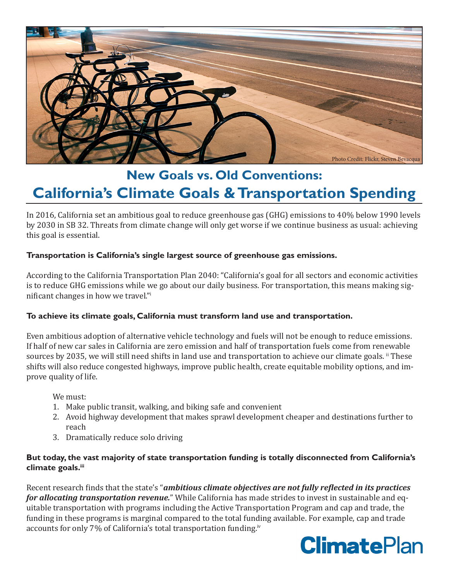

# **New Goals vs. Old Conventions: California's Climate Goals & Transportation Spending**

In 2016, California set an ambitious goal to reduce greenhouse gas (GHG) emissions to 40% below 1990 levels by 2030 in SB 32. Threats from climate change will only get worse if we continue business as usual: achieving this goal is essential.

## **Transportation is California's single largest source of greenhouse gas emissions.**

According to the California Transportation Plan 2040: "California's goal for all sectors and economic activities is to reduce GHG emissions while we go about our daily business. For transportation, this means making significant changes in how we travel."<sup>i</sup>

### **To achieve its climate goals, California must transform land use and transportation.**

Even ambitious adoption of alternative vehicle technology and fuels will not be enough to reduce emissions. If half of new car sales in California are zero emission and half of transportation fuels come from renewable sources by 2035, we will still need shifts in land use and transportation to achieve our climate goals. If These shifts will also reduce congested highways, improve public health, create equitable mobility options, and improve quality of life.

We must:

- 1. Make public transit, walking, and biking safe and convenient
- 2. Avoid highway development that makes sprawl development cheaper and destinations further to reach
- 3. Dramatically reduce solo driving

#### **But today, the vast majority of state transportation funding is totally disconnected from California's climate goals.iii**

Recent research finds that the state's "*ambitious climate objectives are not fully reflected in its practices for allocating transportation revenue.*" While California has made strides to invest in sustainable and equitable transportation with programs including the Active Transportation Program and cap and trade, the funding in these programs is marginal compared to the total funding available. For example, cap and trade accounts for only 7% of California's total transportation funding.<sup>iv</sup>